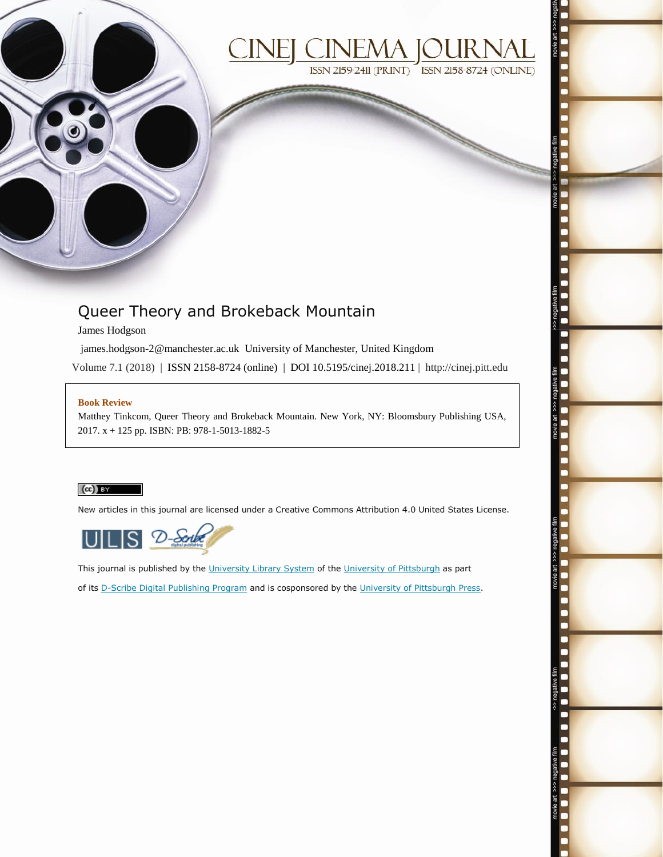



# Queer Theory and Brokeback Mountain

James Hodgson

james.hodgson-2@manchester.ac.uk University of Manchester, United Kingdom

Volume 7.1 (2018) | ISSN 2158-8724 (online) | DOI 10.5195/cinej.2018.211 | http://cinej.pitt.edu

#### **Book Review**

Matthey Tinkcom, Queer Theory and Brokeback Mountain. New York, NY: Bloomsbury Publishing USA, 2017. x + 125 pp. ISBN: PB: 978-1-5013-1882-5

### $\left(\mathrm{cc}\right)$  BY

New articles in this journal are licensed under a Creative Commons Attribution 4.0 United States License.



This journal is published by the [University Library System](http://www.library.pitt.edu/) of th[e University of Pittsburgh](http://www.pitt.edu/) as part of its [D-Scribe Digital Publishing Program](http://www.library.pitt.edu/articles/digpubtype/index.html) and is cosponsored by the [University of Pittsburgh Press.](http://www.upress.pitt.edu/upressIndex.aspx)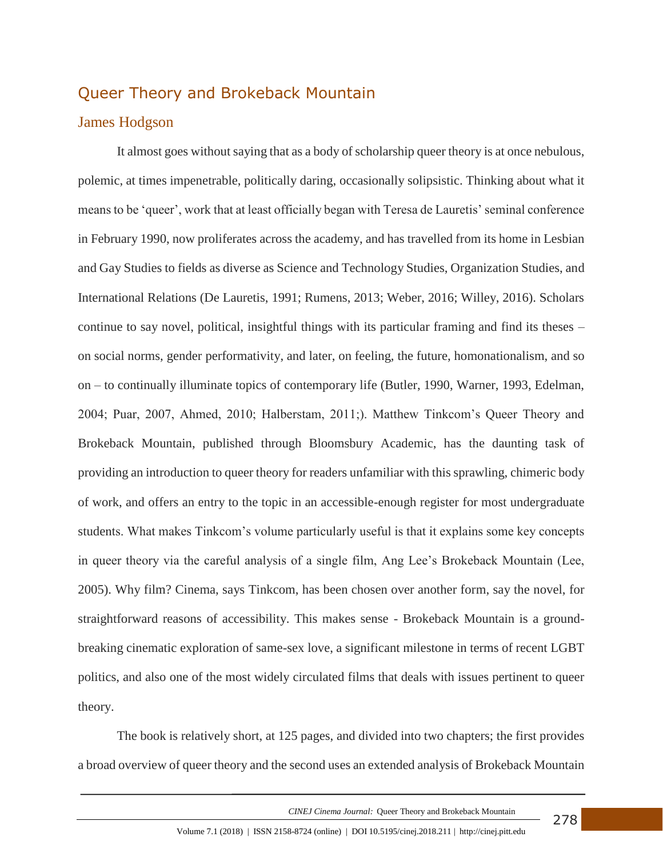## Queer Theory and Brokeback Mountain

### James Hodgson

It almost goes without saying that as a body of scholarship queer theory is at once nebulous, polemic, at times impenetrable, politically daring, occasionally solipsistic. Thinking about what it means to be 'queer', work that at least officially began with Teresa de Lauretis' seminal conference in February 1990, now proliferates across the academy, and has travelled from its home in Lesbian and Gay Studies to fields as diverse as Science and Technology Studies, Organization Studies, and International Relations (De Lauretis, 1991; Rumens, 2013; Weber, 2016; Willey, 2016). Scholars continue to say novel, political, insightful things with its particular framing and find its theses – on social norms, gender performativity, and later, on feeling, the future, homonationalism, and so on – to continually illuminate topics of contemporary life (Butler, 1990, Warner, 1993, Edelman, 2004; Puar, 2007, Ahmed, 2010; Halberstam, 2011;). Matthew Tinkcom's Queer Theory and Brokeback Mountain, published through Bloomsbury Academic, has the daunting task of providing an introduction to queer theory for readers unfamiliar with this sprawling, chimeric body of work, and offers an entry to the topic in an accessible-enough register for most undergraduate students. What makes Tinkcom's volume particularly useful is that it explains some key concepts in queer theory via the careful analysis of a single film, Ang Lee's Brokeback Mountain (Lee, 2005). Why film? Cinema, says Tinkcom, has been chosen over another form, say the novel, for straightforward reasons of accessibility. This makes sense - Brokeback Mountain is a groundbreaking cinematic exploration of same-sex love, a significant milestone in terms of recent LGBT politics, and also one of the most widely circulated films that deals with issues pertinent to queer theory.

The book is relatively short, at 125 pages, and divided into two chapters; the first provides a broad overview of queer theory and the second uses an extended analysis of Brokeback Mountain

 *CINEJ Cinema Journal:* Queer Theory and Brokeback Mountain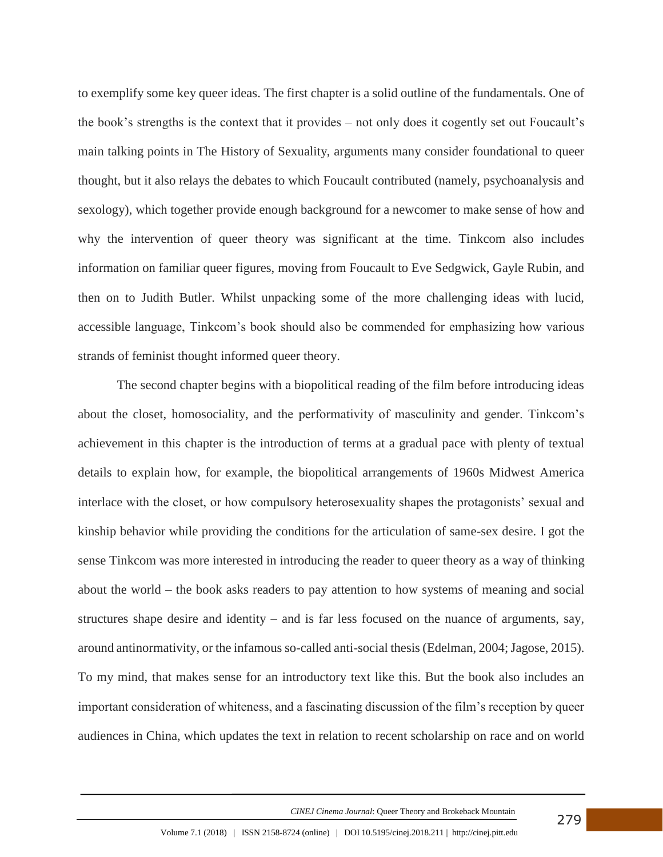to exemplify some key queer ideas. The first chapter is a solid outline of the fundamentals. One of the book's strengths is the context that it provides – not only does it cogently set out Foucault's main talking points in The History of Sexuality, arguments many consider foundational to queer thought, but it also relays the debates to which Foucault contributed (namely, psychoanalysis and sexology), which together provide enough background for a newcomer to make sense of how and why the intervention of queer theory was significant at the time. Tinkcom also includes information on familiar queer figures, moving from Foucault to Eve Sedgwick, Gayle Rubin, and then on to Judith Butler. Whilst unpacking some of the more challenging ideas with lucid, accessible language, Tinkcom's book should also be commended for emphasizing how various strands of feminist thought informed queer theory.

The second chapter begins with a biopolitical reading of the film before introducing ideas about the closet, homosociality, and the performativity of masculinity and gender. Tinkcom's achievement in this chapter is the introduction of terms at a gradual pace with plenty of textual details to explain how, for example, the biopolitical arrangements of 1960s Midwest America interlace with the closet, or how compulsory heterosexuality shapes the protagonists' sexual and kinship behavior while providing the conditions for the articulation of same-sex desire. I got the sense Tinkcom was more interested in introducing the reader to queer theory as a way of thinking about the world – the book asks readers to pay attention to how systems of meaning and social structures shape desire and identity – and is far less focused on the nuance of arguments, say, around antinormativity, or the infamous so-called anti-social thesis (Edelman, 2004; Jagose, 2015). To my mind, that makes sense for an introductory text like this. But the book also includes an important consideration of whiteness, and a fascinating discussion of the film's reception by queer audiences in China, which updates the text in relation to recent scholarship on race and on world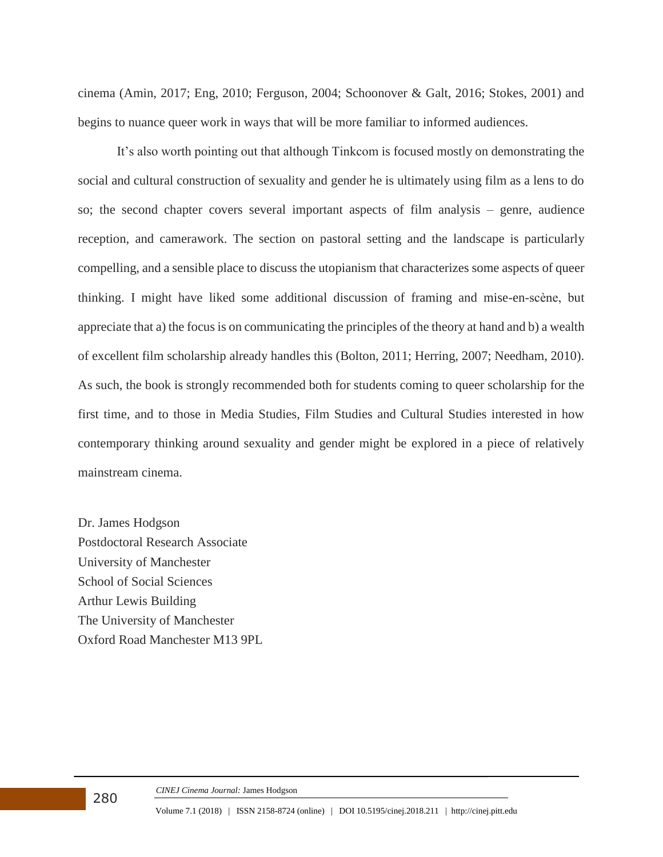cinema (Amin, 2017; Eng, 2010; Ferguson, 2004; Schoonover & Galt, 2016; Stokes, 2001) and begins to nuance queer work in ways that will be more familiar to informed audiences.

It's also worth pointing out that although Tinkcom is focused mostly on demonstrating the social and cultural construction of sexuality and gender he is ultimately using film as a lens to do so; the second chapter covers several important aspects of film analysis – genre, audience reception, and camerawork. The section on pastoral setting and the landscape is particularly compelling, and a sensible place to discuss the utopianism that characterizes some aspects of queer thinking. I might have liked some additional discussion of framing and mise-en-scène, but appreciate that a) the focus is on communicating the principles of the theory at hand and b) a wealth of excellent film scholarship already handles this (Bolton, 2011; Herring, 2007; Needham, 2010). As such, the book is strongly recommended both for students coming to queer scholarship for the first time, and to those in Media Studies, Film Studies and Cultural Studies interested in how contemporary thinking around sexuality and gender might be explored in a piece of relatively mainstream cinema.

Dr. James Hodgson Postdoctoral Research Associate University of Manchester School of Social Sciences Arthur Lewis Building The University of Manchester Oxford Road Manchester M13 9PL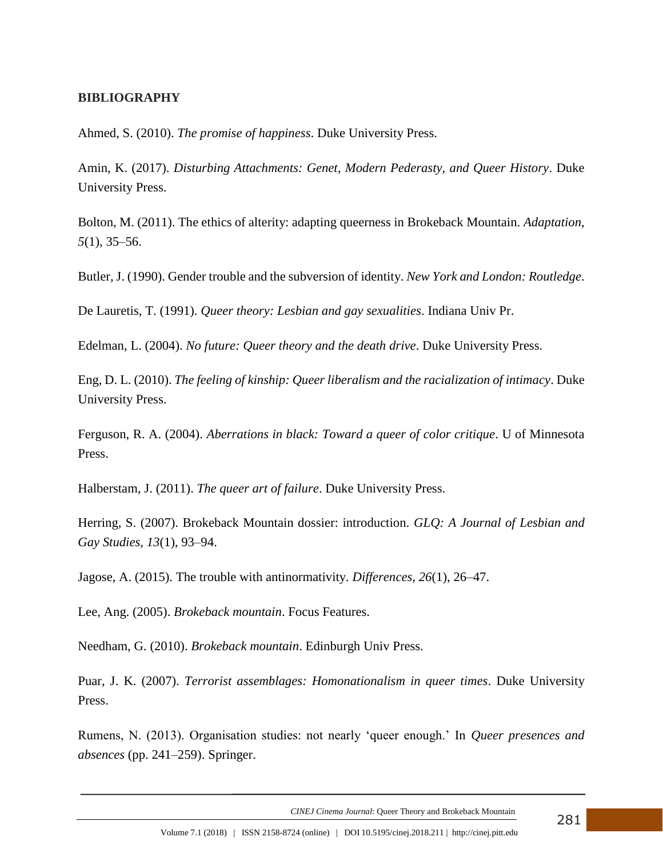### **BIBLIOGRAPHY**

Ahmed, S. (2010). *The promise of happiness*. Duke University Press.

Amin, K. (2017). *Disturbing Attachments: Genet, Modern Pederasty, and Queer History*. Duke University Press.

Bolton, M. (2011). The ethics of alterity: adapting queerness in Brokeback Mountain. *Adaptation*, *5*(1), 35–56.

Butler, J. (1990). Gender trouble and the subversion of identity. *New York and London: Routledge*.

De Lauretis, T. (1991). *Queer theory: Lesbian and gay sexualities*. Indiana Univ Pr.

Edelman, L. (2004). *No future: Queer theory and the death drive*. Duke University Press.

Eng, D. L. (2010). *The feeling of kinship: Queer liberalism and the racialization of intimacy*. Duke University Press.

Ferguson, R. A. (2004). *Aberrations in black: Toward a queer of color critique*. U of Minnesota Press.

Halberstam, J. (2011). *The queer art of failure*. Duke University Press.

Herring, S. (2007). Brokeback Mountain dossier: introduction. *GLQ: A Journal of Lesbian and Gay Studies*, *13*(1), 93–94.

Jagose, A. (2015). The trouble with antinormativity. *Differences*, *26*(1), 26–47.

Lee, Ang. (2005). *Brokeback mountain*. Focus Features.

Needham, G. (2010). *Brokeback mountain*. Edinburgh Univ Press.

Puar, J. K. (2007). *Terrorist assemblages: Homonationalism in queer times*. Duke University Press.

Rumens, N. (2013). Organisation studies: not nearly 'queer enough.' In *Queer presences and absences* (pp. 241–259). Springer.

 *CINEJ Cinema Journal*: Queer Theory and Brokeback Mountain